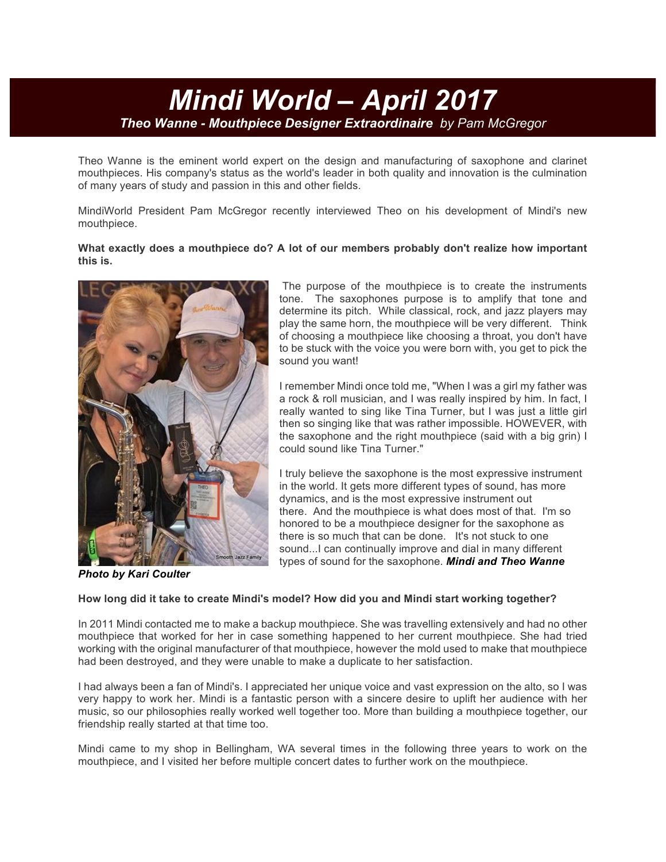# *Mindi World – April 2017 Theo Wanne - Mouthpiece Designer Extraordinaire by Pam McGregor*

Theo Wanne is the eminent world expert on the design and manufacturing of saxophone and clarinet mouthpieces. His company's status as the world's leader in both quality and innovation is the culmination of many years of study and passion in this and other fields.

MindiWorld President Pam McGregor recently interviewed Theo on his development of Mindi's new mouthpiece.

### **What exactly does a mouthpiece do? A lot of our members probably don't realize how important this is.**



The purpose of the mouthpiece is to create the instruments tone. The saxophones purpose is to amplify that tone and determine its pitch. While classical, rock, and jazz players may play the same horn, the mouthpiece will be very different. Think of choosing a mouthpiece like choosing a throat, you don't have to be stuck with the voice you were born with, you get to pick the sound you want!

I remember Mindi once told me, "When I was a girl my father was a rock & roll musician, and I was really inspired by him. In fact, I really wanted to sing like Tina Turner, but I was just a little girl then so singing like that was rather impossible. HOWEVER, with the saxophone and the right mouthpiece (said with a big grin) I could sound like Tina Turner."

I truly believe the saxophone is the most expressive instrument in the world. It gets more different types of sound, has more dynamics, and is the most expressive instrument out there. And the mouthpiece is what does most of that. I'm so honored to be a mouthpiece designer for the saxophone as there is so much that can be done. It's not stuck to one sound...I can continually improve and dial in many different types of sound for the saxophone. *Mindi and Theo Wanne*

*Photo by Kari Coulter*

## **How long did it take to create Mindi's model? How did you and Mindi start working together?**

In 2011 Mindi contacted me to make a backup mouthpiece. She was travelling extensively and had no other mouthpiece that worked for her in case something happened to her current mouthpiece. She had tried working with the original manufacturer of that mouthpiece, however the mold used to make that mouthpiece had been destroyed, and they were unable to make a duplicate to her satisfaction.

I had always been a fan of Mindi's. I appreciated her unique voice and vast expression on the alto, so I was very happy to work her. Mindi is a fantastic person with a sincere desire to uplift her audience with her music, so our philosophies really worked well together too. More than building a mouthpiece together, our friendship really started at that time too.

Mindi came to my shop in Bellingham, WA several times in the following three years to work on the mouthpiece, and I visited her before multiple concert dates to further work on the mouthpiece.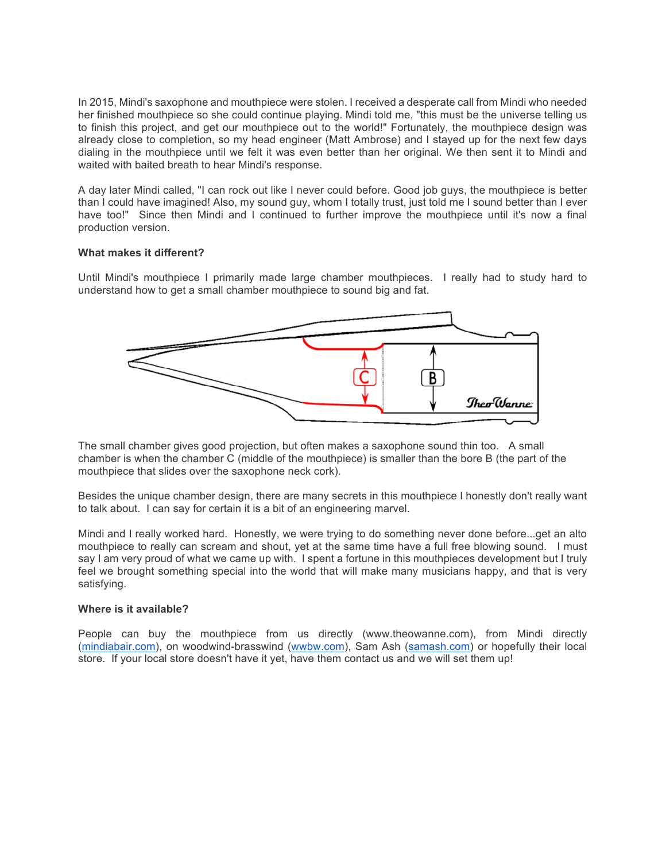In 2015, Mindi's saxophone and mouthpiece were stolen. I received a desperate call from Mindi who needed her finished mouthpiece so she could continue playing. Mindi told me, "this must be the universe telling us to finish this project, and get our mouthpiece out to the world!" Fortunately, the mouthpiece design was already close to completion, so my head engineer (Matt Ambrose) and I stayed up for the next few days dialing in the mouthpiece until we felt it was even better than her original. We then sent it to Mindi and waited with baited breath to hear Mindi's response.

A day later Mindi called, "I can rock out like I never could before. Good job guys, the mouthpiece is better than I could have imagined! Also, my sound guy, whom I totally trust, just told me I sound better than I ever have too!" Since then Mindi and I continued to further improve the mouthpiece until it's now a final production version.

#### **What makes it different?**

Until Mindi's mouthpiece I primarily made large chamber mouthpieces. I really had to study hard to understand how to get a small chamber mouthpiece to sound big and fat.



The small chamber gives good projection, but often makes a saxophone sound thin too. A small chamber is when the chamber C (middle of the mouthpiece) is smaller than the bore B (the part of the mouthpiece that slides over the saxophone neck cork).

Besides the unique chamber design, there are many secrets in this mouthpiece I honestly don't really want to talk about. I can say for certain it is a bit of an engineering marvel.

Mindi and I really worked hard. Honestly, we were trying to do something never done before...get an alto mouthpiece to really can scream and shout, yet at the same time have a full free blowing sound. I must say I am very proud of what we came up with. I spent a fortune in this mouthpieces development but I truly feel we brought something special into the world that will make many musicians happy, and that is very satisfying.

#### **Where is it available?**

People can buy the mouthpiece from us directly (www.theowanne.com), from Mindi directly (mindiabair.com), on woodwind-brasswind (wwbw.com), Sam Ash (samash.com) or hopefully their local store. If your local store doesn't have it yet, have them contact us and we will set them up!